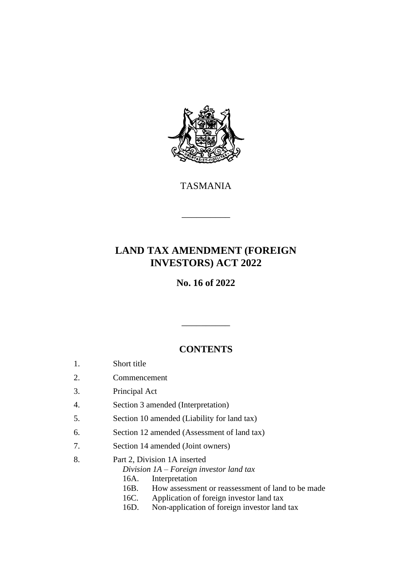

TASMANIA

\_\_\_\_\_\_\_\_\_\_

# **LAND TAX AMENDMENT (FOREIGN INVESTORS) ACT 2022**

**No. 16 of 2022**

## **CONTENTS**

\_\_\_\_\_\_\_\_\_\_

- 1. Short title
- 2. Commencement
- 3. Principal Act
- 4. Section 3 amended (Interpretation)
- 5. Section 10 amended (Liability for land tax)
- 6. Section 12 amended (Assessment of land tax)
- 7. Section 14 amended (Joint owners)
- 8. Part 2, Division 1A inserted
	- *Division 1A – Foreign investor land tax*
	- 16A. Interpretation
	- 16B. How assessment or reassessment of land to be made
	- 16C. Application of foreign investor land tax
	- 16D. Non-application of foreign investor land tax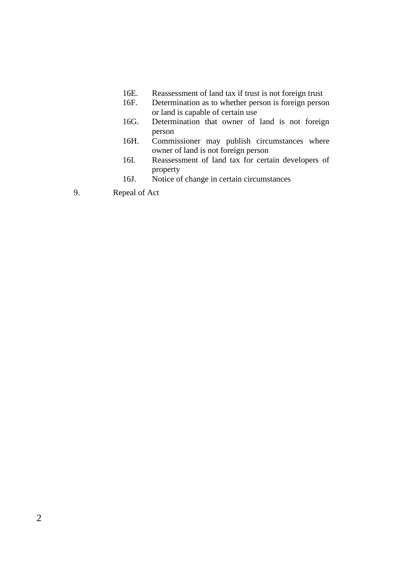- 16E. Reassessment of land tax if trust is not foreign trust<br>16F. Determination as to whether person is foreign perso
- Determination as to whether person is foreign person or land is capable of certain use
- 16G. Determination that owner of land is not foreign person
- 16H. Commissioner may publish circumstances where owner of land is not foreign person
- 16I. Reassessment of land tax for certain developers of property
- 16J. Notice of change in certain circumstances
- 9. Repeal of Act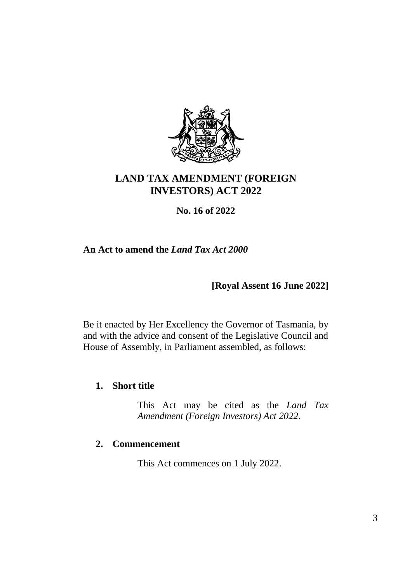

# **LAND TAX AMENDMENT (FOREIGN INVESTORS) ACT 2022**

## **No. 16 of 2022**

## **An Act to amend the** *Land Tax Act 2000*

**[Royal Assent 16 June 2022]**

Be it enacted by Her Excellency the Governor of Tasmania, by and with the advice and consent of the Legislative Council and House of Assembly, in Parliament assembled, as follows:

## **1. Short title**

This Act may be cited as the *Land Tax Amendment (Foreign Investors) Act 2022*.

## **2. Commencement**

This Act commences on 1 July 2022.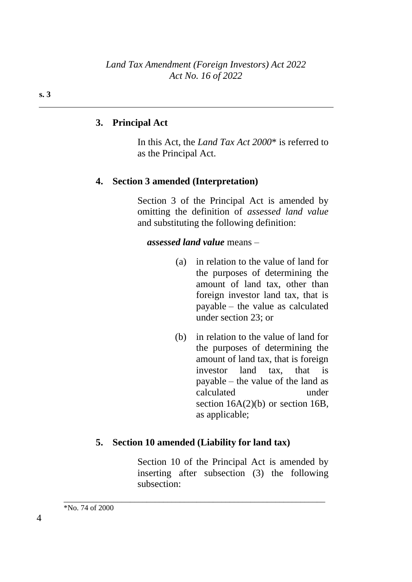## **3. Principal Act**

In this Act, the *Land Tax Act 2000*\* is referred to as the Principal Act.

## **4. Section 3 amended (Interpretation)**

Section 3 of the Principal Act is amended by omitting the definition of *assessed land value* and substituting the following definition:

#### *assessed land value* means –

- (a) in relation to the value of land for the purposes of determining the amount of land tax, other than foreign investor land tax, that is payable – the value as calculated under section 23; or
- (b) in relation to the value of land for the purposes of determining the amount of land tax, that is foreign investor land tax, that is payable – the value of the land as calculated under section 16A(2)(b) or section 16B, as applicable;

#### **5. Section 10 amended (Liability for land tax)**

\_\_\_\_\_\_\_\_\_\_\_\_\_\_\_\_\_\_\_\_\_\_\_\_\_\_\_\_\_\_\_\_\_\_\_\_\_\_\_\_\_\_\_\_\_\_\_\_\_\_\_\_\_\_\_\_\_\_\_\_\_\_\_

Section 10 of the Principal Act is amended by inserting after subsection (3) the following subsection: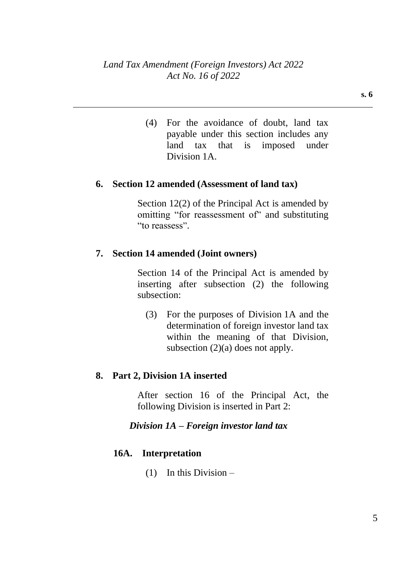(4) For the avoidance of doubt, land tax payable under this section includes any land tax that is imposed under Division 1A.

#### **6. Section 12 amended (Assessment of land tax)**

Section 12(2) of the Principal Act is amended by omitting "for reassessment of" and substituting "to reassess".

## **7. Section 14 amended (Joint owners)**

Section 14 of the Principal Act is amended by inserting after subsection (2) the following subsection:

(3) For the purposes of Division 1A and the determination of foreign investor land tax within the meaning of that Division, subsection (2)(a) does not apply.

#### **8. Part 2, Division 1A inserted**

After section 16 of the Principal Act, the following Division is inserted in Part 2:

*Division 1A – Foreign investor land tax*

## **16A. Interpretation**

(1) In this Division –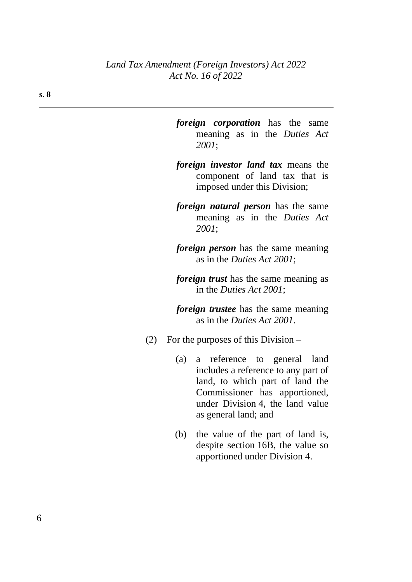- *foreign corporation* has the same meaning as in the *Duties Act 2001*;
- *foreign investor land tax* means the component of land tax that is imposed under this Division;
- *foreign natural person* has the same meaning as in the *Duties Act 2001*;
- *foreign person* has the same meaning as in the *Duties Act 2001*;
- *foreign trust* has the same meaning as in the *Duties Act 2001*;
- *foreign trustee* has the same meaning as in the *Duties Act 2001*.
- (2) For the purposes of this Division
	- (a) a reference to general land includes a reference to any part of land, to which part of land the Commissioner has apportioned, under Division 4, the land value as general land; and
	- (b) the value of the part of land is, despite section 16B, the value so apportioned under Division 4.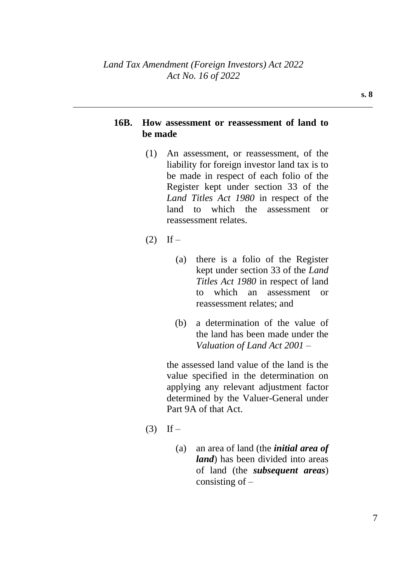#### **16B. How assessment or reassessment of land to be made**

- (1) An assessment, or reassessment, of the liability for foreign investor land tax is to be made in respect of each folio of the Register kept under section 33 of the *Land Titles Act 1980* in respect of the land to which the assessment or reassessment relates.
- $(2)$  If
	- (a) there is a folio of the Register kept under section 33 of the *Land Titles Act 1980* in respect of land to which an assessment or reassessment relates; and
	- (b) a determination of the value of the land has been made under the *Valuation of Land Act 2001* –

the assessed land value of the land is the value specified in the determination on applying any relevant adjustment factor determined by the Valuer-General under Part 9A of that Act.

- $(3)$  If
	- (a) an area of land (the *initial area of land*) has been divided into areas of land (the *subsequent areas*) consisting of  $-$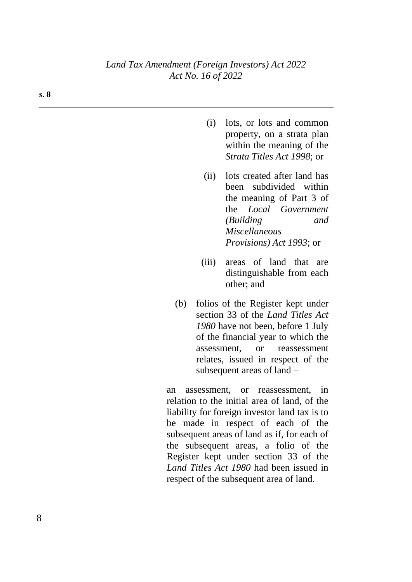- (i) lots, or lots and common property, on a strata plan within the meaning of the *Strata Titles Act 1998*; or
- (ii) lots created after land has been subdivided within the meaning of Part 3 of the *Local Government (Building and Miscellaneous Provisions) Act 1993*; or
- (iii) areas of land that are distinguishable from each other; and
- (b) folios of the Register kept under section 33 of the *Land Titles Act 1980* have not been, before 1 July of the financial year to which the assessment, or reassessment relates, issued in respect of the subsequent areas of land –

an assessment, or reassessment, in relation to the initial area of land, of the liability for foreign investor land tax is to be made in respect of each of the subsequent areas of land as if, for each of the subsequent areas, a folio of the Register kept under section 33 of the *Land Titles Act 1980* had been issued in respect of the subsequent area of land.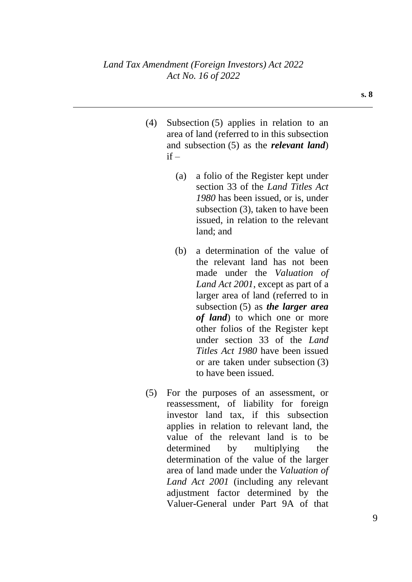- (4) Subsection (5) applies in relation to an area of land (referred to in this subsection and subsection (5) as the *relevant land*)  $if -$ 
	- (a) a folio of the Register kept under section 33 of the *Land Titles Act 1980* has been issued, or is, under subsection (3), taken to have been issued, in relation to the relevant land; and
	- (b) a determination of the value of the relevant land has not been made under the *Valuation of Land Act 2001*, except as part of a larger area of land (referred to in subsection (5) as *the larger area of land*) to which one or more other folios of the Register kept under section 33 of the *Land Titles Act 1980* have been issued or are taken under subsection (3) to have been issued.
- (5) For the purposes of an assessment, or reassessment, of liability for foreign investor land tax, if this subsection applies in relation to relevant land, the value of the relevant land is to be determined by multiplying the determination of the value of the larger area of land made under the *Valuation of Land Act 2001* (including any relevant adjustment factor determined by the Valuer-General under Part 9A of that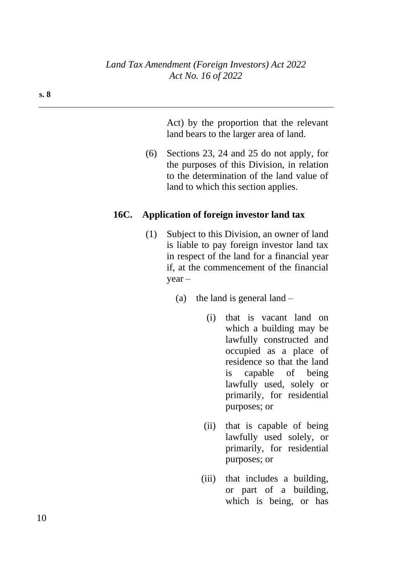Act) by the proportion that the relevant land bears to the larger area of land.

(6) Sections 23, 24 and 25 do not apply, for the purposes of this Division, in relation to the determination of the land value of land to which this section applies.

### **16C. Application of foreign investor land tax**

- (1) Subject to this Division, an owner of land is liable to pay foreign investor land tax in respect of the land for a financial year if, at the commencement of the financial year –
	- (a) the land is general land  $-$ 
		- (i) that is vacant land on which a building may be lawfully constructed and occupied as a place of residence so that the land is capable of being lawfully used, solely or primarily, for residential purposes; or
		- (ii) that is capable of being lawfully used solely, or primarily, for residential purposes; or
		- (iii) that includes a building, or part of a building, which is being, or has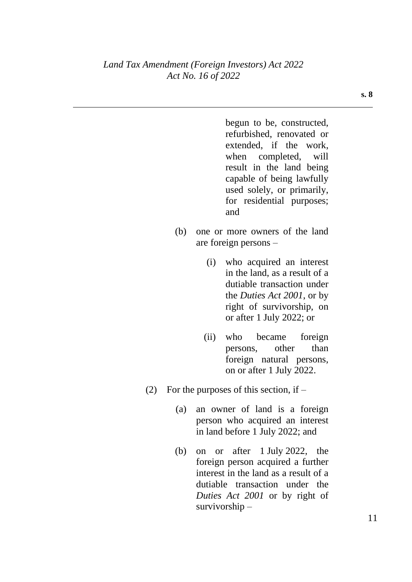begun to be, constructed, refurbished, renovated or extended, if the work, when completed, will result in the land being capable of being lawfully used solely, or primarily, for residential purposes; and

- (b) one or more owners of the land are foreign persons –
	- (i) who acquired an interest in the land, as a result of a dutiable transaction under the *Duties Act 2001*, or by right of survivorship, on or after 1 July 2022; or
	- (ii) who became foreign persons, other than foreign natural persons, on or after 1 July 2022.
- (2) For the purposes of this section, if  $-$ 
	- (a) an owner of land is a foreign person who acquired an interest in land before 1 July 2022; and
	- (b) on or after 1 July 2022, the foreign person acquired a further interest in the land as a result of a dutiable transaction under the *Duties Act 2001* or by right of survivorship –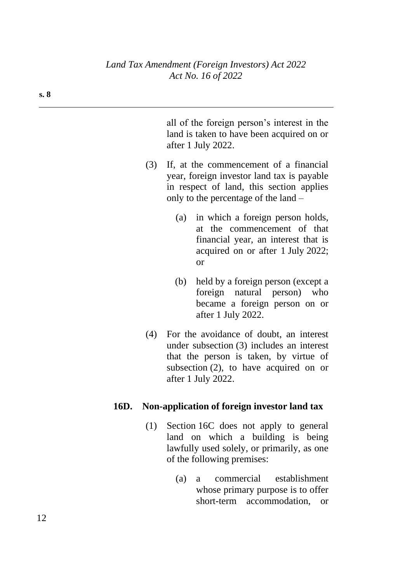all of the foreign person's interest in the land is taken to have been acquired on or after 1 July 2022.

- (3) If, at the commencement of a financial year, foreign investor land tax is payable in respect of land, this section applies only to the percentage of the land –
	- (a) in which a foreign person holds, at the commencement of that financial year, an interest that is acquired on or after 1 July 2022; or
	- (b) held by a foreign person (except a foreign natural person) who became a foreign person on or after 1 July 2022.
- (4) For the avoidance of doubt, an interest under subsection (3) includes an interest that the person is taken, by virtue of subsection (2), to have acquired on or after 1 July 2022.

#### **16D. Non-application of foreign investor land tax**

- (1) Section 16C does not apply to general land on which a building is being lawfully used solely, or primarily, as one of the following premises:
	- (a) a commercial establishment whose primary purpose is to offer short-term accommodation, or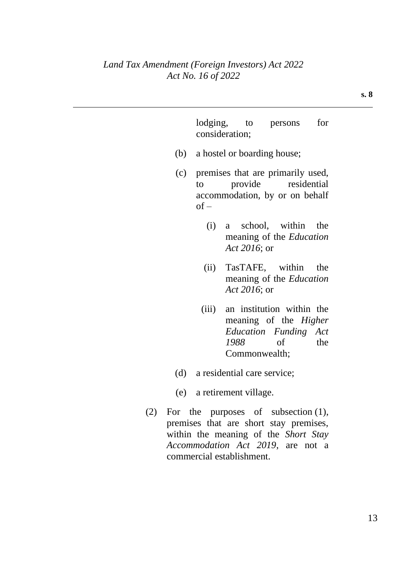## *Land Tax Amendment (Foreign Investors) Act 2022 Act No. 16 of 2022*

 $(2)$  For

commercial establishment.

|                                 | consideration;                                                                                           |      |               | lodging, to persons                                                                                                                                           | for |  |
|---------------------------------|----------------------------------------------------------------------------------------------------------|------|---------------|---------------------------------------------------------------------------------------------------------------------------------------------------------------|-----|--|
|                                 | (b) a hostel or boarding house;                                                                          |      |               |                                                                                                                                                               |     |  |
| (c)                             | premises that are primarily used,<br>provide residential<br>to<br>accommodation, by or on behalf<br>of – |      |               |                                                                                                                                                               |     |  |
|                                 | (i)                                                                                                      |      | Act 2016; or  | a school, within the<br>meaning of the Education                                                                                                              |     |  |
|                                 |                                                                                                          |      | Act 2016; or  | (ii) TasTAFE, within the<br>meaning of the Education                                                                                                          |     |  |
|                                 | (iii)                                                                                                    | 1988 | Commonwealth; | an institution within the<br>meaning of the Higher<br>Education Funding Act<br>of                                                                             | the |  |
| (d) a residential care service; |                                                                                                          |      |               |                                                                                                                                                               |     |  |
| (e) a retirement village.       |                                                                                                          |      |               |                                                                                                                                                               |     |  |
|                                 |                                                                                                          |      |               | For the purposes of subsection $(1)$ ,<br>premises that are short stay premises,<br>within the meaning of the Short Stay<br>Accommodation Act 2019, are not a |     |  |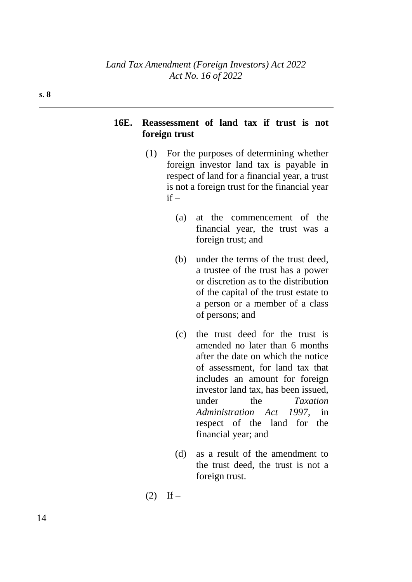## **16E. Reassessment of land tax if trust is not foreign trust**

- (1) For the purposes of determining whether foreign investor land tax is payable in respect of land for a financial year, a trust is not a foreign trust for the financial year  $if -$ 
	- (a) at the commencement of the financial year, the trust was a foreign trust; and
	- (b) under the terms of the trust deed, a trustee of the trust has a power or discretion as to the distribution of the capital of the trust estate to a person or a member of a class of persons; and
	- (c) the trust deed for the trust is amended no later than 6 months after the date on which the notice of assessment, for land tax that includes an amount for foreign investor land tax, has been issued, under the *Taxation Administration Act 1997*, in respect of the land for the financial year; and
	- (d) as a result of the amendment to the trust deed, the trust is not a foreign trust.
- $(2)$  If –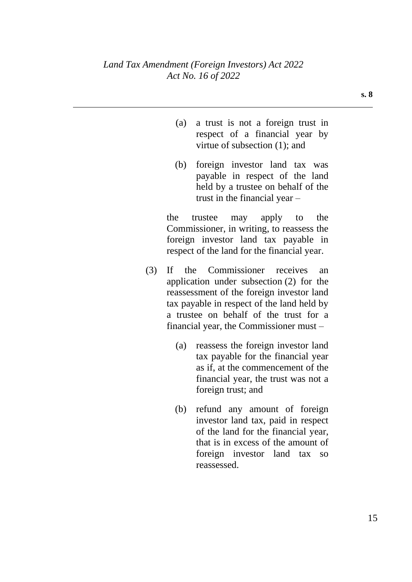- (a) a trust is not a foreign trust in respect of a financial year by virtue of subsection (1); and
- (b) foreign investor land tax was payable in respect of the land held by a trustee on behalf of the trust in the financial year –

the trustee may apply to the Commissioner, in writing, to reassess the foreign investor land tax payable in respect of the land for the financial year.

- (3) If the Commissioner receives an application under subsection (2) for the reassessment of the foreign investor land tax payable in respect of the land held by a trustee on behalf of the trust for a financial year, the Commissioner must –
	- (a) reassess the foreign investor land tax payable for the financial year as if, at the commencement of the financial year, the trust was not a foreign trust; and
	- (b) refund any amount of foreign investor land tax, paid in respect of the land for the financial year, that is in excess of the amount of foreign investor land tax so reassessed.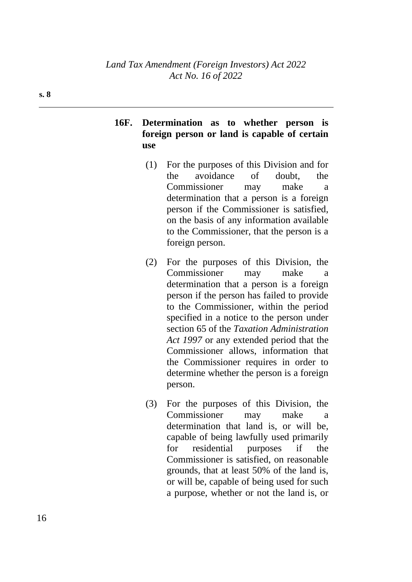## **16F. Determination as to whether person is foreign person or land is capable of certain use**

- (1) For the purposes of this Division and for the avoidance of doubt, the Commissioner may make a determination that a person is a foreign person if the Commissioner is satisfied, on the basis of any information available to the Commissioner, that the person is a foreign person.
- (2) For the purposes of this Division, the Commissioner may make a determination that a person is a foreign person if the person has failed to provide to the Commissioner, within the period specified in a notice to the person under section 65 of the *Taxation Administration Act 1997* or any extended period that the Commissioner allows, information that the Commissioner requires in order to determine whether the person is a foreign person.
- (3) For the purposes of this Division, the Commissioner may make a determination that land is, or will be, capable of being lawfully used primarily for residential purposes if the Commissioner is satisfied, on reasonable grounds, that at least 50% of the land is, or will be, capable of being used for such a purpose, whether or not the land is, or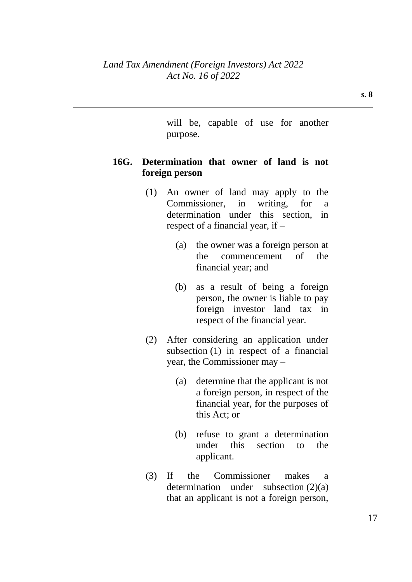will be, capable of use for another purpose.

## **16G. Determination that owner of land is not foreign person**

- (1) An owner of land may apply to the Commissioner, in writing, for a determination under this section, in respect of a financial year, if –
	- (a) the owner was a foreign person at the commencement of the financial year; and
	- (b) as a result of being a foreign person, the owner is liable to pay foreign investor land tax in respect of the financial year.
- (2) After considering an application under subsection (1) in respect of a financial year, the Commissioner may –
	- (a) determine that the applicant is not a foreign person, in respect of the financial year, for the purposes of this Act; or
	- (b) refuse to grant a determination under this section to the applicant.
- (3) If the Commissioner makes a determination under subsection (2)(a) that an applicant is not a foreign person,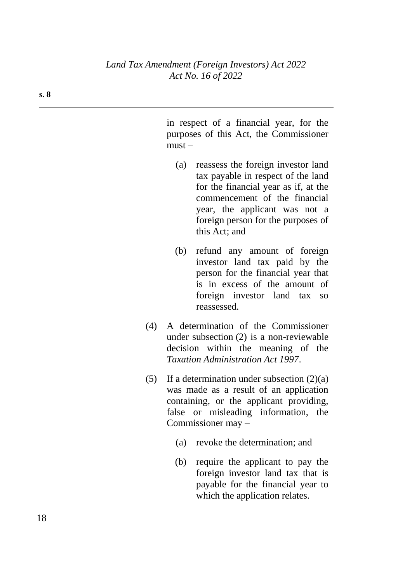in respect of a financial year, for the purposes of this Act, the Commissioner  $must -$ 

- (a) reassess the foreign investor land tax payable in respect of the land for the financial year as if, at the commencement of the financial year, the applicant was not a foreign person for the purposes of this Act; and
- (b) refund any amount of foreign investor land tax paid by the person for the financial year that is in excess of the amount of foreign investor land tax so reassessed.
- (4) A determination of the Commissioner under subsection (2) is a non-reviewable decision within the meaning of the *Taxation Administration Act 1997*.
- (5) If a determination under subsection  $(2)(a)$ was made as a result of an application containing, or the applicant providing, false or misleading information, the Commissioner may –
	- (a) revoke the determination; and
	- (b) require the applicant to pay the foreign investor land tax that is payable for the financial year to which the application relates.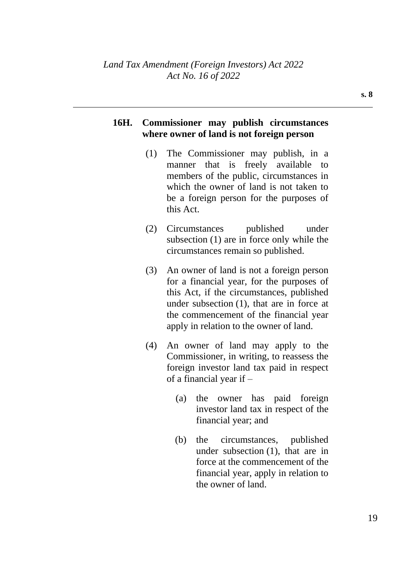## **16H. Commissioner may publish circumstances where owner of land is not foreign person**

- (1) The Commissioner may publish, in a manner that is freely available to members of the public, circumstances in which the owner of land is not taken to be a foreign person for the purposes of this Act.
- (2) Circumstances published under subsection (1) are in force only while the circumstances remain so published.
- (3) An owner of land is not a foreign person for a financial year, for the purposes of this Act, if the circumstances, published under subsection (1), that are in force at the commencement of the financial year apply in relation to the owner of land.
- (4) An owner of land may apply to the Commissioner, in writing, to reassess the foreign investor land tax paid in respect of a financial year if –
	- (a) the owner has paid foreign investor land tax in respect of the financial year; and
	- (b) the circumstances, published under subsection (1), that are in force at the commencement of the financial year, apply in relation to the owner of land.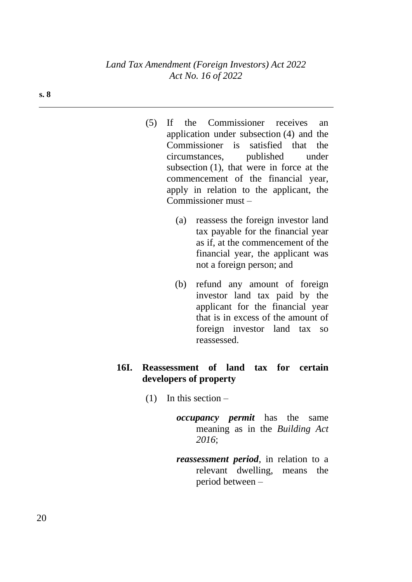- (5) If the Commissioner receives an application under subsection (4) and the Commissioner is satisfied that the circumstances, published under subsection (1), that were in force at the commencement of the financial year, apply in relation to the applicant, the Commissioner must –
	- (a) reassess the foreign investor land tax payable for the financial year as if, at the commencement of the financial year, the applicant was not a foreign person; and
	- (b) refund any amount of foreign investor land tax paid by the applicant for the financial year that is in excess of the amount of foreign investor land tax so reassessed.

## **16I. Reassessment of land tax for certain developers of property**

- $(1)$  In this section
	- *occupancy permit* has the same meaning as in the *Building Act 2016*;
	- *reassessment period*, in relation to a relevant dwelling, means the period between –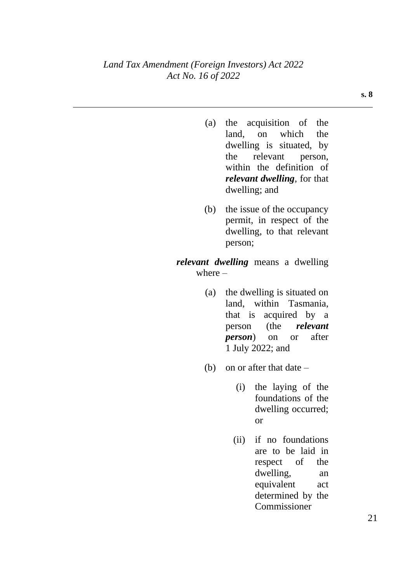- (a) the acquisition of the land, on which the dwelling is situated, by the relevant person, within the definition of *relevant dwelling*, for that dwelling; and
- (b) the issue of the occupancy permit, in respect of the dwelling, to that relevant person;

#### *relevant dwelling* means a dwelling where  $-$

- (a) the dwelling is situated on land, within Tasmania, that is acquired by a person (the *relevant person*) on or after 1 July 2022; and
- (b) on or after that date
	- (i) the laying of the foundations of the dwelling occurred; or
	- (ii) if no foundations are to be laid in respect of the dwelling, an equivalent act determined by the Commissioner

**s. 8**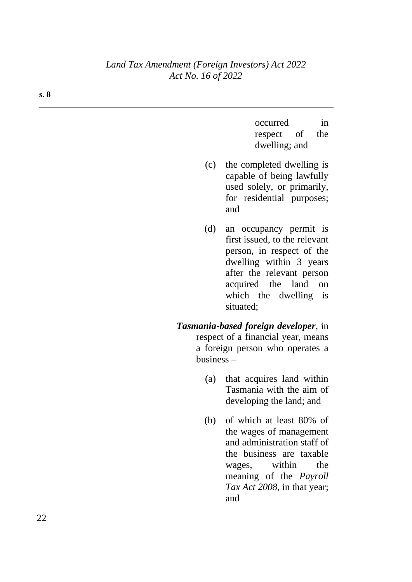### *Land Tax Amendment (Foreign Investors) Act 2022 Act No. 16 of 2022*

| occurred      |    | in  |
|---------------|----|-----|
| respect       | of | the |
| dwelling; and |    |     |

- (c) the completed dwelling is capable of being lawfully used solely, or primarily, for residential purposes; and
- (d) an occupancy permit is first issued, to the relevant person, in respect of the dwelling within 3 years after the relevant person acquired the land on which the dwelling is situated;
- *Tasmania-based foreign developer*, in respect of a financial year, means a foreign person who operates a business –
	- (a) that acquires land within Tasmania with the aim of developing the land; and
	- (b) of which at least 80% of the wages of management and administration staff of the business are taxable wages, within the meaning of the *Payroll Tax Act 2008*, in that year; and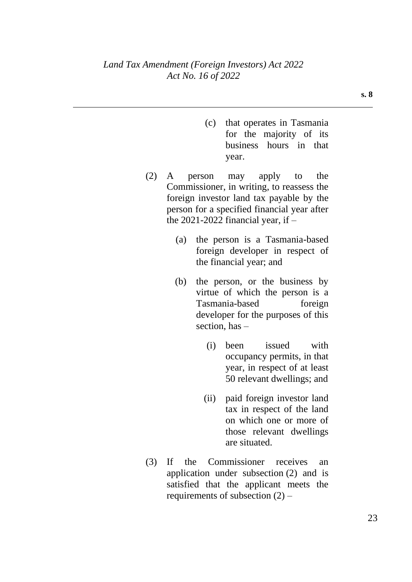- (c) that operates in Tasmania for the majority of its business hours in that year.
- (2) A person may apply to the Commissioner, in writing, to reassess the foreign investor land tax payable by the person for a specified financial year after the 2021-2022 financial year, if  $-$ 
	- (a) the person is a Tasmania-based foreign developer in respect of the financial year; and
	- (b) the person, or the business by virtue of which the person is a Tasmania-based foreign developer for the purposes of this section, has –
		- (i) been issued with occupancy permits, in that year, in respect of at least 50 relevant dwellings; and
		- (ii) paid foreign investor land tax in respect of the land on which one or more of those relevant dwellings are situated.
- (3) If the Commissioner receives an application under subsection (2) and is satisfied that the applicant meets the requirements of subsection  $(2)$  –

**s. 8**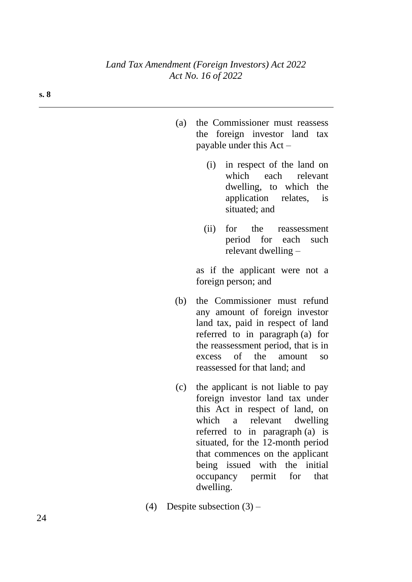- (a) the Commissioner must reassess the foreign investor land tax payable under this Act –
	- (i) in respect of the land on which each relevant dwelling, to which the application relates, is situated; and
	- (ii) for the reassessment period for each such relevant dwelling –

as if the applicant were not a foreign person; and

- (b) the Commissioner must refund any amount of foreign investor land tax, paid in respect of land referred to in paragraph (a) for the reassessment period, that is in excess of the amount so reassessed for that land; and
- (c) the applicant is not liable to pay foreign investor land tax under this Act in respect of land, on which a relevant dwelling referred to in paragraph (a) is situated, for the 12-month period that commences on the applicant being issued with the initial occupancy permit for that dwelling.
- (4) Despite subsection  $(3)$  –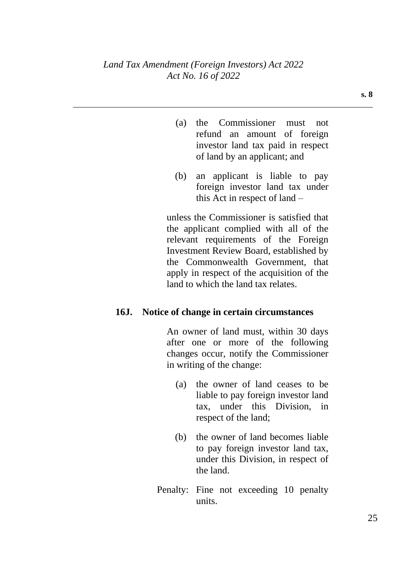- (a) the Commissioner must not refund an amount of foreign investor land tax paid in respect of land by an applicant; and
- (b) an applicant is liable to pay foreign investor land tax under this Act in respect of land –

unless the Commissioner is satisfied that the applicant complied with all of the relevant requirements of the Foreign Investment Review Board, established by the Commonwealth Government, that apply in respect of the acquisition of the land to which the land tax relates.

#### **16J. Notice of change in certain circumstances**

An owner of land must, within 30 days after one or more of the following changes occur, notify the Commissioner in writing of the change:

- (a) the owner of land ceases to be liable to pay foreign investor land tax, under this Division, in respect of the land;
- (b) the owner of land becomes liable to pay foreign investor land tax, under this Division, in respect of the land.
- Penalty: Fine not exceeding 10 penalty units.

**s. 8**